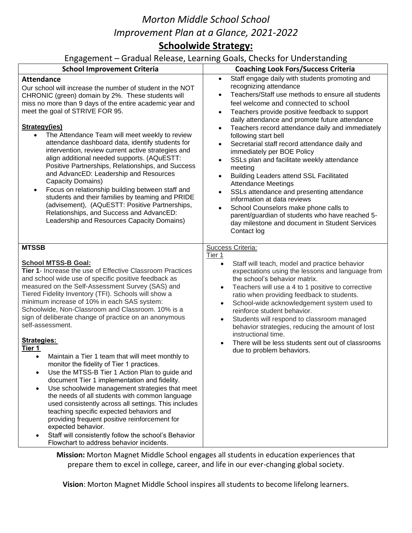# *Morton Middle School School Improvement Plan at a Glance, 2021-2022* **Schoolwide Strategy:**

### Engagement – Gradual Release, Learning Goals, Checks for Understanding

| subabellicite craaaal itelease) searilling                                                                                                                                                                                                                                                                                                                                                                                                                                                                                                                                                                                                                                                                                                                                                                                                                                                                                                                                                                                                                                                                   | source for structure in the                                                                                                                                                                                                                                                                                                                                                                                                                                                                                                                                                                                                                                                                                                                                                                                                                                                                                                                |
|--------------------------------------------------------------------------------------------------------------------------------------------------------------------------------------------------------------------------------------------------------------------------------------------------------------------------------------------------------------------------------------------------------------------------------------------------------------------------------------------------------------------------------------------------------------------------------------------------------------------------------------------------------------------------------------------------------------------------------------------------------------------------------------------------------------------------------------------------------------------------------------------------------------------------------------------------------------------------------------------------------------------------------------------------------------------------------------------------------------|--------------------------------------------------------------------------------------------------------------------------------------------------------------------------------------------------------------------------------------------------------------------------------------------------------------------------------------------------------------------------------------------------------------------------------------------------------------------------------------------------------------------------------------------------------------------------------------------------------------------------------------------------------------------------------------------------------------------------------------------------------------------------------------------------------------------------------------------------------------------------------------------------------------------------------------------|
| <b>School Improvement Criteria</b>                                                                                                                                                                                                                                                                                                                                                                                                                                                                                                                                                                                                                                                                                                                                                                                                                                                                                                                                                                                                                                                                           | <b>Coaching Look Fors/Success Criteria</b>                                                                                                                                                                                                                                                                                                                                                                                                                                                                                                                                                                                                                                                                                                                                                                                                                                                                                                 |
| <b>Attendance</b><br>Our school will increase the number of student in the NOT<br>CHRONIC (green) domain by 2%. These students will<br>miss no more than 9 days of the entire academic year and<br>meet the goal of STRIVE FOR 95.<br><b>Strategy(ies)</b><br>The Attendance Team will meet weekly to review<br>$\bullet$<br>attendance dashboard data, identify students for<br>intervention, review current active strategies and<br>align additional needed supports. (AQuESTT:<br>Positive Partnerships, Relationships, and Success<br>and AdvancED: Leadership and Resources<br>Capacity Domains)<br>Focus on relationship building between staff and<br>$\bullet$<br>students and their families by teaming and PRIDE<br>(advisement), (AQuESTT: Positive Partnerships,<br>Relationships, and Success and AdvancED:<br>Leadership and Resources Capacity Domains)                                                                                                                                                                                                                                      | Staff engage daily with students promoting and<br>$\bullet$<br>recognizing attendance<br>Teachers/Staff use methods to ensure all students<br>$\bullet$<br>feel welcome and connected to school<br>Teachers provide positive feedback to support<br>$\bullet$<br>daily attendance and promote future attendance<br>Teachers record attendance daily and immediately<br>$\bullet$<br>following start bell<br>Secretarial staff record attendance daily and<br>$\bullet$<br>immediately per BOE Policy<br>SSLs plan and facilitate weekly attendance<br>$\bullet$<br>meeting<br><b>Building Leaders attend SSL Facilitated</b><br>$\bullet$<br><b>Attendance Meetings</b><br>SSLs attendance and presenting attendance<br>$\bullet$<br>information at data reviews<br>School Counselors make phone calls to<br>$\bullet$<br>parent/guardian of students who have reached 5-<br>day milestone and document in Student Services<br>Contact log |
| <b>MTSSB</b><br><b>School MTSS-B Goal:</b><br>Tier 1- Increase the use of Effective Classroom Practices<br>and school wide use of specific positive feedback as<br>measured on the Self-Assessment Survey (SAS) and<br>Tiered Fidelity Inventory (TFI). Schools will show a<br>minimum increase of 10% in each SAS system:<br>Schoolwide, Non-Classroom and Classroom. 10% is a<br>sign of deliberate change of practice on an anonymous<br>self-assessment.<br><b>Strategies:</b><br>Tier 1<br>Maintain a Tier 1 team that will meet monthly to<br>$\bullet$<br>monitor the fidelity of Tier 1 practices.<br>Use the MTSS-B Tier 1 Action Plan to guide and<br>document Tier 1 implementation and fidelity.<br>Use schoolwide management strategies that meet<br>$\bullet$<br>the needs of all students with common language<br>used consistently across all settings. This includes<br>teaching specific expected behaviors and<br>providing frequent positive reinforcement for<br>expected behavior.<br>Staff will consistently follow the school's Behavior<br>Flowchart to address behavior incidents. | Success Criteria:<br>Tier 1<br>Staff will teach, model and practice behavior<br>$\bullet$<br>expectations using the lessons and language from<br>the school's behavior matrix.<br>Teachers will use a 4 to 1 positive to corrective<br>$\bullet$<br>ratio when providing feedback to students.<br>School-wide acknowledgement system used to<br>$\bullet$<br>reinforce student behavior.<br>Students will respond to classroom managed<br>$\bullet$<br>behavior strategies, reducing the amount of lost<br>instructional time.<br>There will be less students sent out of classrooms<br>due to problem behaviors.                                                                                                                                                                                                                                                                                                                          |

**Mission:** Morton Magnet Middle School engages all students in education experiences that prepare them to excel in college, career, and life in our ever-changing global society.

**Vision**: Morton Magnet Middle School inspires all students to become lifelong learners.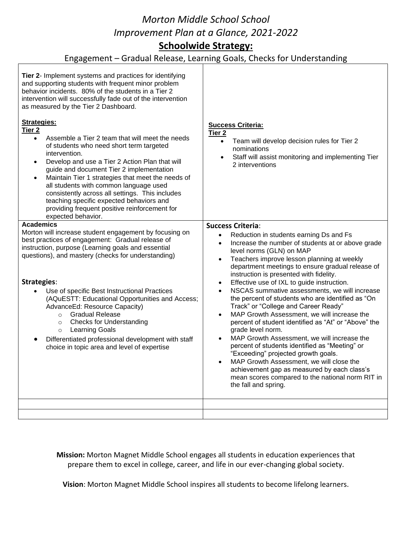## *Morton Middle School School Improvement Plan at a Glance, 2021-2022* **Schoolwide Strategy:**

### Engagement – Gradual Release, Learning Goals, Checks for Understanding

| Tier 2- Implement systems and practices for identifying<br>and supporting students with frequent minor problem<br>behavior incidents. 80% of the students in a Tier 2<br>intervention will successfully fade out of the intervention<br>as measured by the Tier 2 Dashboard.<br><b>Strategies:</b><br>Tier $2$<br>Assemble a Tier 2 team that will meet the needs<br>$\bullet$<br>of students who need short term targeted<br>intervention.<br>Develop and use a Tier 2 Action Plan that will<br>$\bullet$<br>guide and document Tier 2 implementation<br>Maintain Tier 1 strategies that meet the needs of<br>$\bullet$<br>all students with common language used<br>consistently across all settings. This includes<br>teaching specific expected behaviors and<br>providing frequent positive reinforcement for<br>expected behavior. | <b>Success Criteria:</b><br>Tier <sub>2</sub><br>Team will develop decision rules for Tier 2<br>$\bullet$<br>nominations<br>Staff will assist monitoring and implementing Tier<br>2 interventions                                                                                                                                                                                                                                                                                                                                                                                                                                                                                                                                                                                                                                                                                                                                                                                                                           |
|------------------------------------------------------------------------------------------------------------------------------------------------------------------------------------------------------------------------------------------------------------------------------------------------------------------------------------------------------------------------------------------------------------------------------------------------------------------------------------------------------------------------------------------------------------------------------------------------------------------------------------------------------------------------------------------------------------------------------------------------------------------------------------------------------------------------------------------|-----------------------------------------------------------------------------------------------------------------------------------------------------------------------------------------------------------------------------------------------------------------------------------------------------------------------------------------------------------------------------------------------------------------------------------------------------------------------------------------------------------------------------------------------------------------------------------------------------------------------------------------------------------------------------------------------------------------------------------------------------------------------------------------------------------------------------------------------------------------------------------------------------------------------------------------------------------------------------------------------------------------------------|
| <b>Academics</b>                                                                                                                                                                                                                                                                                                                                                                                                                                                                                                                                                                                                                                                                                                                                                                                                                         |                                                                                                                                                                                                                                                                                                                                                                                                                                                                                                                                                                                                                                                                                                                                                                                                                                                                                                                                                                                                                             |
| Morton will increase student engagement by focusing on<br>best practices of engagement: Gradual release of<br>instruction, purpose (Learning goals and essential<br>questions), and mastery (checks for understanding)<br><b>Strategies:</b><br>Use of specific Best Instructional Practices<br>(AQuESTT: Educational Opportunities and Access;<br>AdvanceEd: Resource Capacity)<br><b>Gradual Release</b><br>$\circ$<br><b>Checks for Understanding</b><br>$\circ$<br><b>Learning Goals</b><br>$\circ$<br>Differentiated professional development with staff<br>choice in topic area and level of expertise                                                                                                                                                                                                                             | <b>Success Criteria:</b><br>Reduction in students earning Ds and Fs<br>$\bullet$<br>Increase the number of students at or above grade<br>$\bullet$<br>level norms (GLN) on MAP<br>Teachers improve lesson planning at weekly<br>$\bullet$<br>department meetings to ensure gradual release of<br>instruction is presented with fidelity.<br>Effective use of IXL to guide instruction.<br>٠<br>NSCAS summative assessments, we will increase<br>$\bullet$<br>the percent of students who are identified as "On<br>Track" or "College and Career Ready"<br>MAP Growth Assessment, we will increase the<br>$\bullet$<br>percent of student identified as "At" or "Above" the<br>grade level norm.<br>MAP Growth Assessment, we will increase the<br>$\bullet$<br>percent of students identified as "Meeting" or<br>"Exceeding" projected growth goals.<br>MAP Growth Assessment, we will close the<br>achievement gap as measured by each class's<br>mean scores compared to the national norm RIT in<br>the fall and spring. |
|                                                                                                                                                                                                                                                                                                                                                                                                                                                                                                                                                                                                                                                                                                                                                                                                                                          |                                                                                                                                                                                                                                                                                                                                                                                                                                                                                                                                                                                                                                                                                                                                                                                                                                                                                                                                                                                                                             |
|                                                                                                                                                                                                                                                                                                                                                                                                                                                                                                                                                                                                                                                                                                                                                                                                                                          |                                                                                                                                                                                                                                                                                                                                                                                                                                                                                                                                                                                                                                                                                                                                                                                                                                                                                                                                                                                                                             |

**Mission:** Morton Magnet Middle School engages all students in education experiences that prepare them to excel in college, career, and life in our ever-changing global society.

**Vision**: Morton Magnet Middle School inspires all students to become lifelong learners.